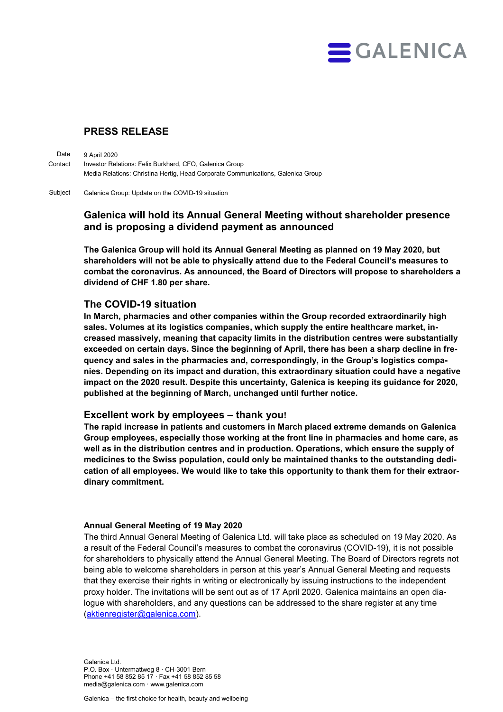

# PRESS RELEASE

9 April 2020 Investor Relations: Felix Burkhard, CFO, Galenica Group Media Relations: Christina Hertig, Head Corporate Communications, Galenica Group Date Contact

Galenica Group: Update on the COVID-19 situation Subject

# Galenica will hold its Annual General Meeting without shareholder presence and is proposing a dividend payment as announced

The Galenica Group will hold its Annual General Meeting as planned on 19 May 2020, but shareholders will not be able to physically attend due to the Federal Council's measures to combat the coronavirus. As announced, the Board of Directors will propose to shareholders a dividend of CHF 1.80 per share.

# The COVID-19 situation

In March, pharmacies and other companies within the Group recorded extraordinarily high sales. Volumes at its logistics companies, which supply the entire healthcare market, increased massively, meaning that capacity limits in the distribution centres were substantially exceeded on certain days. Since the beginning of April, there has been a sharp decline in frequency and sales in the pharmacies and, correspondingly, in the Group's logistics companies. Depending on its impact and duration, this extraordinary situation could have a negative impact on the 2020 result. Despite this uncertainty, Galenica is keeping its guidance for 2020, published at the beginning of March, unchanged until further notice.

### Excellent work by employees – thank you!

The rapid increase in patients and customers in March placed extreme demands on Galenica Group employees, especially those working at the front line in pharmacies and home care, as well as in the distribution centres and in production. Operations, which ensure the supply of medicines to the Swiss population, could only be maintained thanks to the outstanding dedication of all employees. We would like to take this opportunity to thank them for their extraordinary commitment.

### Annual General Meeting of 19 May 2020

The third Annual General Meeting of Galenica Ltd. will take place as scheduled on 19 May 2020. As a result of the Federal Council's measures to combat the coronavirus (COVID-19), it is not possible for shareholders to physically attend the Annual General Meeting. The Board of Directors regrets not being able to welcome shareholders in person at this year's Annual General Meeting and requests that they exercise their rights in writing or electronically by issuing instructions to the independent proxy holder. The invitations will be sent out as of 17 April 2020. Galenica maintains an open dialogue with shareholders, and any questions can be addressed to the share register at any time (aktienregister@galenica.com).

Galenica Ltd. P.O. Box · Untermattweg 8 · CH-3001 Bern Phone +41 58 852 85 17 · Fax +41 58 852 85 58 media@galenica.com · www.galenica.com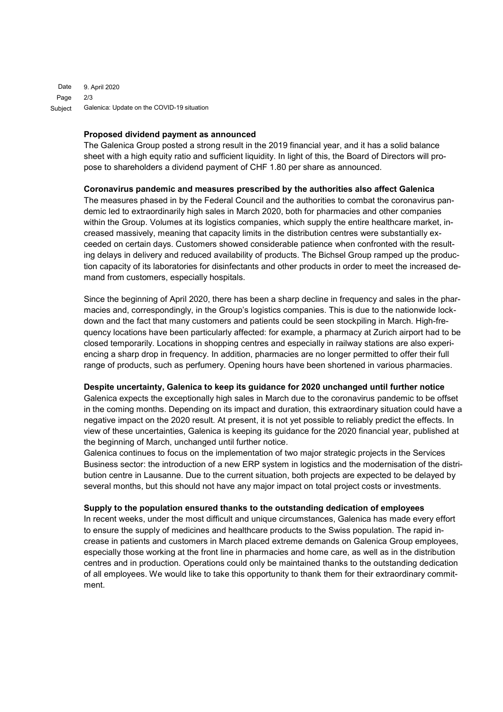9. April 2020 2/3 Galenica: Update on the COVID-19 situation Date Page Subject

#### Proposed dividend payment as announced

The Galenica Group posted a strong result in the 2019 financial year, and it has a solid balance sheet with a high equity ratio and sufficient liquidity. In light of this, the Board of Directors will propose to shareholders a dividend payment of CHF 1.80 per share as announced.

#### Coronavirus pandemic and measures prescribed by the authorities also affect Galenica

The measures phased in by the Federal Council and the authorities to combat the coronavirus pandemic led to extraordinarily high sales in March 2020, both for pharmacies and other companies within the Group. Volumes at its logistics companies, which supply the entire healthcare market, increased massively, meaning that capacity limits in the distribution centres were substantially exceeded on certain days. Customers showed considerable patience when confronted with the resulting delays in delivery and reduced availability of products. The Bichsel Group ramped up the production capacity of its laboratories for disinfectants and other products in order to meet the increased demand from customers, especially hospitals.

Since the beginning of April 2020, there has been a sharp decline in frequency and sales in the pharmacies and, correspondingly, in the Group's logistics companies. This is due to the nationwide lockdown and the fact that many customers and patients could be seen stockpiling in March. High-frequency locations have been particularly affected: for example, a pharmacy at Zurich airport had to be closed temporarily. Locations in shopping centres and especially in railway stations are also experiencing a sharp drop in frequency. In addition, pharmacies are no longer permitted to offer their full range of products, such as perfumery. Opening hours have been shortened in various pharmacies.

#### Despite uncertainty, Galenica to keep its guidance for 2020 unchanged until further notice

Galenica expects the exceptionally high sales in March due to the coronavirus pandemic to be offset in the coming months. Depending on its impact and duration, this extraordinary situation could have a negative impact on the 2020 result. At present, it is not yet possible to reliably predict the effects. In view of these uncertainties, Galenica is keeping its guidance for the 2020 financial year, published at the beginning of March, unchanged until further notice.

Galenica continues to focus on the implementation of two major strategic projects in the Services Business sector: the introduction of a new ERP system in logistics and the modernisation of the distribution centre in Lausanne. Due to the current situation, both projects are expected to be delayed by several months, but this should not have any major impact on total project costs or investments.

#### Supply to the population ensured thanks to the outstanding dedication of employees

In recent weeks, under the most difficult and unique circumstances, Galenica has made every effort to ensure the supply of medicines and healthcare products to the Swiss population. The rapid increase in patients and customers in March placed extreme demands on Galenica Group employees, especially those working at the front line in pharmacies and home care, as well as in the distribution centres and in production. Operations could only be maintained thanks to the outstanding dedication of all employees. We would like to take this opportunity to thank them for their extraordinary commitment.